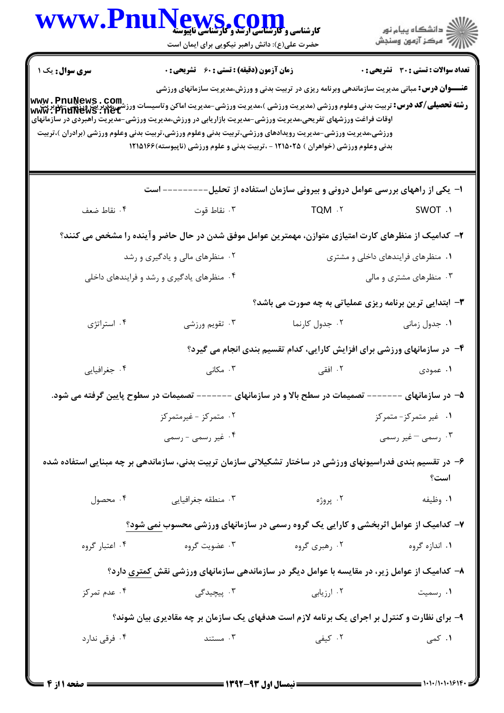| <b>WWW.FI</b>                                                                                                                                                                                                                                                                                                                                                                                                                                                                                                                                                                                                                                                                                                                        | کارشناسی و کارشناسی ارتئاد و گاریکا<br>کارشناسی و کارشناسی ارتئاد و گارشناسی ناپیوسته<br>حضرت علی(ع): دانش راهبر نیکویی برای ایمان است |                                                                          | ≦ دانشڪاه پيام نور<br>7- مرڪز آزمون وسنڊش |  |  |
|--------------------------------------------------------------------------------------------------------------------------------------------------------------------------------------------------------------------------------------------------------------------------------------------------------------------------------------------------------------------------------------------------------------------------------------------------------------------------------------------------------------------------------------------------------------------------------------------------------------------------------------------------------------------------------------------------------------------------------------|----------------------------------------------------------------------------------------------------------------------------------------|--------------------------------------------------------------------------|-------------------------------------------|--|--|
| تعداد سوالات : تستى : 30 ٪ تشريحي : 0<br><b>زمان آزمون (دقیقه) : تستی : 60 ٪ تشریحی : 0</b><br><b>سری سوال :</b> یک ۱<br><b>عنــــوان درس:</b> مبانی مدیریت سازماندهی وبرنامه ریزی در تربیت بدنی و ورزش،مدیریت سازمانهای ورزشی<br><b>www . PnuNews . Com.</b><br>ر <b>شته تحصیلی/کد درس:</b> تربیت بدنی وعلوم ورزشی (مدیریت ورزشی )،مدیریت ورزشی-مدیریت اماکن وتاسیسات ورزشی،مدیریت ورزشی-مدیریت<br>www . PnuNews . net<br>اوقات فراغت ورزشهای تفریحی،مدیریت ورزشی-مدیریت بازاریابی در ورزش،مدیریت ورزشی-مدیریت راهبردی در سازمانهای<br>ورزشی،مدیریت ورزشی-مدیریت رویدادهای ورزشی،تربیت بدنی وعلوم ورزشی،تربیت بدنی وعلوم ورزشی (برادران )،تربیت<br>بدنی وعلوم ورزشی (خواهران ) ۱۲۱۵۰۲۵ - ،تربیت بدنی و علوم ورزشی (ناپیوسته)۱۲۱۵۱۶۶ |                                                                                                                                        |                                                                          |                                           |  |  |
|                                                                                                                                                                                                                                                                                                                                                                                                                                                                                                                                                                                                                                                                                                                                      | -- است                                                                                                                                 | ا– یکی از راههای بررسی عوامل درونی و بیرونی سازمان استفاده از تحلیل-     |                                           |  |  |
| ۰۴ نقاط ضعف                                                                                                                                                                                                                                                                                                                                                                                                                                                                                                                                                                                                                                                                                                                          | ۰۳ نقاط قوت                                                                                                                            | <b>TQM</b> . T                                                           | SWOT .1                                   |  |  |
|                                                                                                                                                                                                                                                                                                                                                                                                                                                                                                                                                                                                                                                                                                                                      | ۲– کدامیک از منظرهای کارت امتیازی متوازن، مهمترین عوامل موفق شدن در حال حاضر وآینده را مشخص می کنند؟                                   |                                                                          |                                           |  |  |
|                                                                                                                                                                                                                                                                                                                                                                                                                                                                                                                                                                                                                                                                                                                                      | ۰۲ منظرهای مالی و یادگیری و رشد                                                                                                        |                                                                          | ۰۱ منظرهای فرایندهای داخلی و مشتری        |  |  |
|                                                                                                                                                                                                                                                                                                                                                                                                                                                                                                                                                                                                                                                                                                                                      | ۰۴ منظرهای یادگیری و رشد و فرایندهای داخلی                                                                                             |                                                                          | ۰۳ منظرهای مشتری و مالی                   |  |  |
|                                                                                                                                                                                                                                                                                                                                                                                                                                                                                                                                                                                                                                                                                                                                      |                                                                                                                                        | ۳- ابتدایی ترین برنامه ریزی عملیاتی به چه صورت می باشد؟                  |                                           |  |  |
| ۰۴ استراتژی                                                                                                                                                                                                                                                                                                                                                                                                                                                                                                                                                                                                                                                                                                                          | ۰۳ تقویم ورزشی                                                                                                                         | ۰۲ جدول کارنما                                                           | ۰۱ جدول زمانی                             |  |  |
|                                                                                                                                                                                                                                                                                                                                                                                                                                                                                                                                                                                                                                                                                                                                      |                                                                                                                                        | ۴- در سازمانهای ورزشی برای افزایش کارایی، کدام تقسیم بندی انجام می گیرد؟ |                                           |  |  |
| ۰۴ جغرافيايي                                                                                                                                                                                                                                                                                                                                                                                                                                                                                                                                                                                                                                                                                                                         | ۰۳ مکانی                                                                                                                               | ۲. افقی                                                                  | ۰۱ عمودی                                  |  |  |
|                                                                                                                                                                                                                                                                                                                                                                                                                                                                                                                                                                                                                                                                                                                                      | ۵– در سازمانهای ------- تصمیمات در سطح بالا و در سازمانهای ------- تصمیمات در سطوح پایین گرفته می شود.                                 |                                                                          |                                           |  |  |
|                                                                                                                                                                                                                                                                                                                                                                                                                                                                                                                                                                                                                                                                                                                                      | ۰۲ متمرکز - غیرمتمرکز                                                                                                                  |                                                                          | ۰۱ غیر متمرکز-متمرکز                      |  |  |
|                                                                                                                                                                                                                                                                                                                                                                                                                                                                                                                                                                                                                                                                                                                                      | ۰۴ غیر رسمی - رسمی                                                                                                                     |                                                                          | ۰۳ رسمی –غیر رسمی                         |  |  |
|                                                                                                                                                                                                                                                                                                                                                                                                                                                                                                                                                                                                                                                                                                                                      |                                                                                                                                        |                                                                          |                                           |  |  |
|                                                                                                                                                                                                                                                                                                                                                                                                                                                                                                                                                                                                                                                                                                                                      | ۶– در تقسیم بندی فدراسیونهای ورزشی در ساختار تشکیلاتی سازمان تربیت بدنی، سازماندهی بر چه مبنایی استفاده شده                            |                                                                          | است؟                                      |  |  |
| ۰۴ محصول                                                                                                                                                                                                                                                                                                                                                                                                                                                                                                                                                                                                                                                                                                                             | ۰۳ منطقه جغرافیایی                                                                                                                     | ۰۲ پروژه                                                                 | ٠١ وظيفه                                  |  |  |
|                                                                                                                                                                                                                                                                                                                                                                                                                                                                                                                                                                                                                                                                                                                                      | ۷- کدامیک از عوامل اثربخشی و کارایی یک گروه رسمی در سازمانهای ورزشی محسوب نمی شود؟                                                     |                                                                          |                                           |  |  |
| ۰۴ اعتبار گروه                                                                                                                                                                                                                                                                                                                                                                                                                                                                                                                                                                                                                                                                                                                       | ۰۳ عضویت گروه                                                                                                                          | ۰۲ رهبری گروه                                                            | ۰۱ اندازه گروه                            |  |  |
|                                                                                                                                                                                                                                                                                                                                                                                                                                                                                                                                                                                                                                                                                                                                      | ۸– کدامیک از عوامل زیر، در مقایسه با عوامل دیگر در سازماندهی سازمانهای ورزشی نقش کمتری دارد؟                                           |                                                                          |                                           |  |  |
| ۰۴ عدم تمرکز                                                                                                                                                                                                                                                                                                                                                                                                                                                                                                                                                                                                                                                                                                                         | ۰۳ پیچیدگی                                                                                                                             | ۰۲ ارزیابی                                                               | ۰۱ رسمیت                                  |  |  |
|                                                                                                                                                                                                                                                                                                                                                                                                                                                                                                                                                                                                                                                                                                                                      | ۹- برای نظارت و کنترل بر اجرای یک برنامه لازم است هدفهای یک سازمان بر چه مقادیری بیان شوند؟                                            |                                                                          |                                           |  |  |
| ۰۴ فرقی ندارد                                                                                                                                                                                                                                                                                                                                                                                                                                                                                                                                                                                                                                                                                                                        | ۰۳ مستند                                                                                                                               | ۰۲ کیفی                                                                  | ۰۱ کمی                                    |  |  |
|                                                                                                                                                                                                                                                                                                                                                                                                                                                                                                                                                                                                                                                                                                                                      |                                                                                                                                        |                                                                          |                                           |  |  |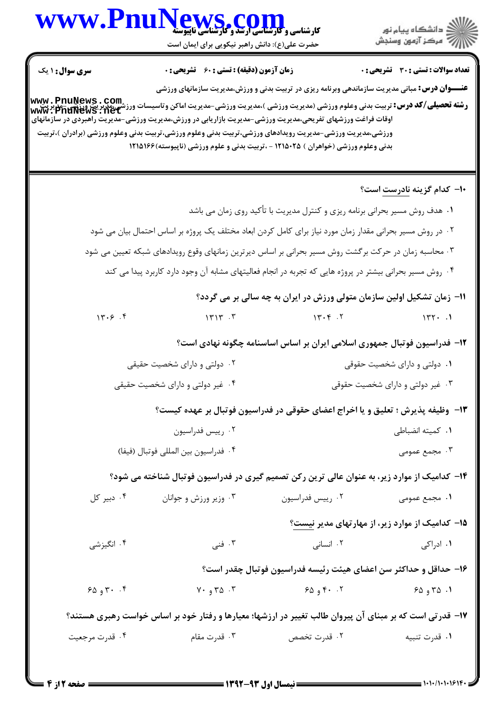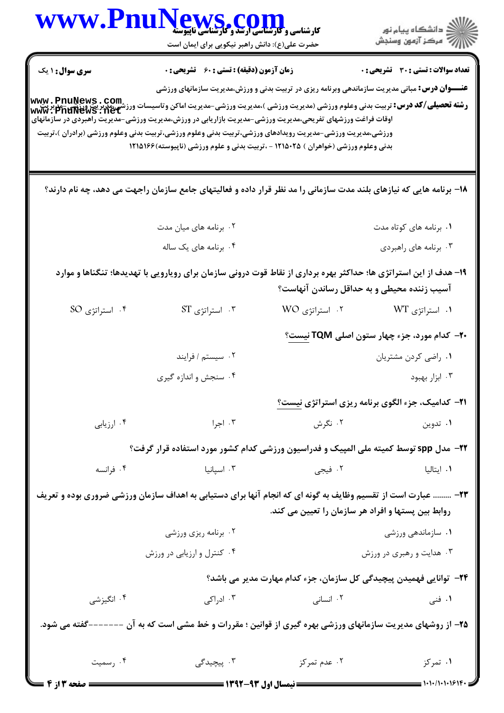| WWW.F                  | کارشناسی و کارشناسی ارتقد و گاریا<br>کارشناسی و کارشناسی ارتقد و گارشناسی ناپیوسته<br>حضرت علی(ع): دانش راهبر نیکویی برای ایمان است                                                                                                                                                                                                                                                                         |                                                                            | ڪ دانشڪاه پيا <sub>م</sub> نور<br>∕ مرڪز آزمون وسنڊش     |
|------------------------|-------------------------------------------------------------------------------------------------------------------------------------------------------------------------------------------------------------------------------------------------------------------------------------------------------------------------------------------------------------------------------------------------------------|----------------------------------------------------------------------------|----------------------------------------------------------|
| <b>سری سوال : ۱ یک</b> | <b>زمان آزمون (دقیقه) : تستی : 60 ٪ تشریحی : 0</b>                                                                                                                                                                                                                                                                                                                                                          |                                                                            | <b>تعداد سوالات : تستی : 30 ٪ تشریحی : 0</b>             |
|                        | <b>عنــــوان درس:</b> مبانی مدیریت سازماندهی وبرنامه ریزی در تربیت بدنی و ورزش،مدیریت سازمانهای ورزشی<br><b>www . PnuNews . Com.</b><br>و <b>شته تحصیلی/کد درس:</b> تربیت بدنی وعلوم ورزشی (مدیریت ورزشی )،مدیریت ورزشی-مدیریت اماکن وتأسیسات ورزشی،مدیریت ورزشی-مدیریت<br>www . PnuNews . net<br>اوقات فراغت ورزشهای تفریحی،مدیریت ورزشی-مدیریت بازاریابی در ورزش،مدیریت ورزشی-مدیریت راهبردی در سازمانهای |                                                                            |                                                          |
|                        | ورزشی،مدیریت ورزشی-مدیریت رویدادهای ورزشی،تربیت بدنی وعلوم ورزشی،تربیت بدنی وعلوم ورزشی (برادران )،تربیت<br>بدنی وعلوم ورزشی (خواهران ) ۲۵۰۲۵ - ،تربیت بدنی و علوم ورزشی (ناپیوسته) ۱۲۱۵۱۶۶                                                                                                                                                                                                                 |                                                                            |                                                          |
|                        | ۱۸– برنامه هایی که نیازهای بلند مدت سازمانی را مد نظر قرار داده و فعالیتهای جامع سازمان راجهت می دهد، چه نام دارند؟                                                                                                                                                                                                                                                                                         |                                                                            |                                                          |
|                        | ۰۲ برنامه های میان مدت                                                                                                                                                                                                                                                                                                                                                                                      | ۰۱ برنامه های کوتاه مدت                                                    |                                                          |
|                        | ۰۴ برنامه های یک ساله                                                                                                                                                                                                                                                                                                                                                                                       |                                                                            | ۰۳ برنامه های راهبردی                                    |
|                        | ۱۹- هدف از این استراتژی ها؛ حداکثر بهره برداری از نقاط قوت درونی سازمان برای رویارویی با تهدیدها؛ تنگناها و موارد                                                                                                                                                                                                                                                                                           | آسیب زننده محیطی و به حداقل رساندن آنهاست؟                                 |                                                          |
| ۰۴ استراتژی SO         | $ST$ استراتژی $\cdot$                                                                                                                                                                                                                                                                                                                                                                                       | ۰۲ استراتژی WO                                                             | ۰۱ استراتژی WT                                           |
|                        |                                                                                                                                                                                                                                                                                                                                                                                                             |                                                                            | ۲۰- کدام مورد، جزء چهار ستون اصلی TQM نیست؟              |
|                        | ٠٢ سيستم / فرايند                                                                                                                                                                                                                                                                                                                                                                                           |                                                                            | ٠١ راضي كردن مشتريان                                     |
|                        | ۰۴ سنجش و اندازه گیری                                                                                                                                                                                                                                                                                                                                                                                       |                                                                            | ۰۳ ابزار بهبود                                           |
|                        |                                                                                                                                                                                                                                                                                                                                                                                                             |                                                                            | <b>۲۱- کدامیک، جزء الگوی برنامه ریزی استراتژی نیست</b> ؟ |
| ۰۴ ارزیابی             | ۰۳ اجرا                                                                                                                                                                                                                                                                                                                                                                                                     | ۰۲ نگرش                                                                    | ۰۱ تدوین                                                 |
|                        | <b>۲۲</b> – مدل spp توسط کمیته ملی المپیک و فدراسیون ورزشی کدام کشور مورد استفاده قرار گرفت؟                                                                                                                                                                                                                                                                                                                |                                                                            |                                                          |
| ۰۴ فرانسه              | اسپانیا استانیا است $\mathcal{F}$ . $\mathcal{F}$                                                                                                                                                                                                                                                                                                                                                           | ۲ فیجی ۲۰                                                                  | ۰۱ ایتالیا                                               |
|                        | ۲۳- ……… عبارت است از تقسیم وظایف به گونه ای که انجام آنها برای دستیابی به اهداف سازمان ورزشی ضروری بوده و تعریف                                                                                                                                                                                                                                                                                             | روابط بین پستها و افراد هر سازمان را تعیین می کند.                         |                                                          |
|                        | ۰۲ برنامه ریزی ورزشی                                                                                                                                                                                                                                                                                                                                                                                        |                                                                            | ۰۱ سازماندهی ورزشی                                       |
|                        | ۰۴ کنترل و ارزیابی در ورزش                                                                                                                                                                                                                                                                                                                                                                                  |                                                                            | ۰۳ هدایت و رهبری در ورزش                                 |
|                        |                                                                                                                                                                                                                                                                                                                                                                                                             | <b>۲۴</b> - توانایی فهمیدن پیچیدگی کل سازمان، جزء کدام مهارت مدیر می باشد؟ |                                                          |
| ۰۴ انگیزشی             | ادراکی $\cdot$ ۳                                                                                                                                                                                                                                                                                                                                                                                            | ۰۲ انسانی                                                                  | ۰۱ فنی                                                   |
|                        | ۲۵– از روشهای مدیریت سازمانهای ورزشی بهره گیری از قوانین ؛ مقررات و خط مشی است که به آن -------گفته می شود.                                                                                                                                                                                                                                                                                                 |                                                                            |                                                          |
| ۴. رسميت               |                                                                                                                                                                                                                                                                                                                                                                                                             | ۲. عدم تمرکز مسلم پیچیدگی                                                  | ۰۱ تمرکز                                                 |
| <b>ـــ صفحه 3 از 4</b> |                                                                                                                                                                                                                                                                                                                                                                                                             | <b>ـــــــــ نیمسال اول ۹۳-۱۳۹۲ ــــــــ</b>                               | $\frac{1}{2}$ 1.1./1.1.1614.                             |